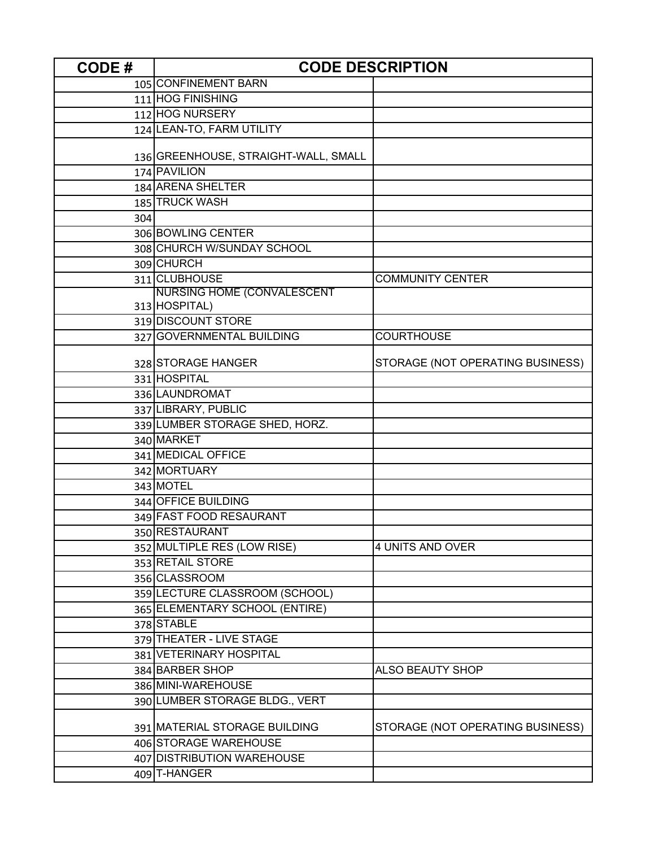| <b>CODE#</b> | <b>CODE DESCRIPTION</b>              |                                  |
|--------------|--------------------------------------|----------------------------------|
|              | 105 CONFINEMENT BARN                 |                                  |
|              | 111 HOG FINISHING                    |                                  |
|              | 112 HOG NURSERY                      |                                  |
|              | 124 LEAN-TO, FARM UTILITY            |                                  |
|              |                                      |                                  |
|              | 136 GREENHOUSE, STRAIGHT-WALL, SMALL |                                  |
|              | 174 PAVILION                         |                                  |
|              | 184 ARENA SHELTER                    |                                  |
|              | 185 TRUCK WASH                       |                                  |
| 304          |                                      |                                  |
|              | 306 BOWLING CENTER                   |                                  |
|              | 308 CHURCH W/SUNDAY SCHOOL           |                                  |
|              | 309 CHURCH                           |                                  |
|              | 311 CLUBHOUSE                        | <b>COMMUNITY CENTER</b>          |
|              | <b>NURSING HOME (CONVALESCENT</b>    |                                  |
|              | 313 HOSPITAL)                        |                                  |
|              | 319 DISCOUNT STORE                   |                                  |
|              | 327 GOVERNMENTAL BUILDING            | <b>COURTHOUSE</b>                |
|              | 328 STORAGE HANGER                   | STORAGE (NOT OPERATING BUSINESS) |
|              | 331 HOSPITAL                         |                                  |
|              | 336 LAUNDROMAT                       |                                  |
|              | 337 LIBRARY, PUBLIC                  |                                  |
|              | 339 LUMBER STORAGE SHED, HORZ.       |                                  |
|              | 340 MARKET                           |                                  |
|              | 341 MEDICAL OFFICE                   |                                  |
|              | 342 MORTUARY                         |                                  |
|              | 343 MOTEL                            |                                  |
|              | 344 OFFICE BUILDING                  |                                  |
|              | 349 FAST FOOD RESAURANT              |                                  |
|              | 350 RESTAURANT                       |                                  |
|              | 352 MULTIPLE RES (LOW RISE)          | 4 UNITS AND OVER                 |
|              | 353 RETAIL STORE                     |                                  |
|              | 356 CLASSROOM                        |                                  |
|              | 359 LECTURE CLASSROOM (SCHOOL)       |                                  |
|              | 365 ELEMENTARY SCHOOL (ENTIRE)       |                                  |
|              | 378 STABLE                           |                                  |
|              | 379 THEATER - LIVE STAGE             |                                  |
|              | 381 VETERINARY HOSPITAL              |                                  |
|              | 384 BARBER SHOP                      | <b>ALSO BEAUTY SHOP</b>          |
|              | 386 MINI-WAREHOUSE                   |                                  |
|              | 390 LUMBER STORAGE BLDG., VERT       |                                  |
|              |                                      |                                  |
|              | 391 MATERIAL STORAGE BUILDING        | STORAGE (NOT OPERATING BUSINESS) |
|              | 406 STORAGE WAREHOUSE                |                                  |
|              | 407 DISTRIBUTION WAREHOUSE           |                                  |
|              | 409 T-HANGER                         |                                  |